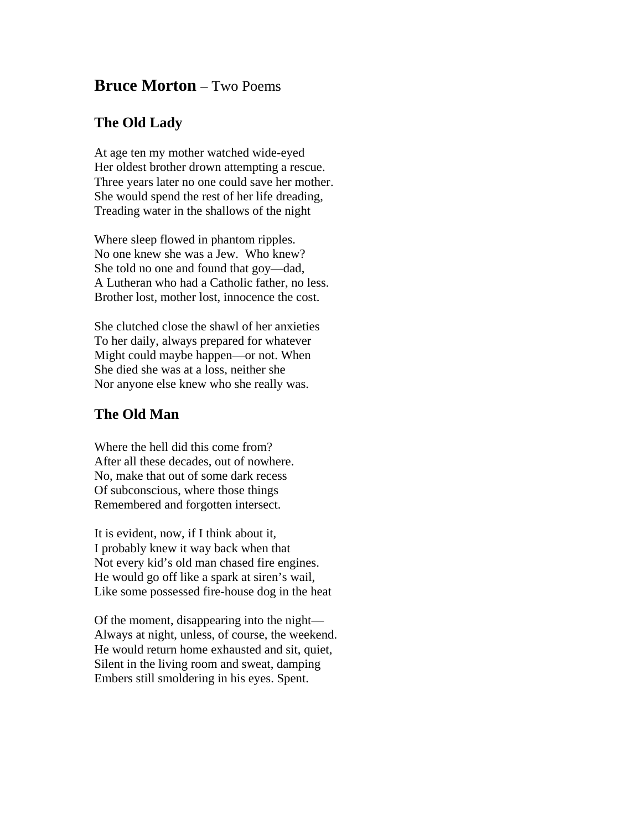## **Bruce Morton** – Two Poems

## **The Old Lady**

At age ten my mother watched wide-eyed Her oldest brother drown attempting a rescue. Three years later no one could save her mother. She would spend the rest of her life dreading, Treading water in the shallows of the night

Where sleep flowed in phantom ripples. No one knew she was a Jew. Who knew? She told no one and found that goy—dad, A Lutheran who had a Catholic father, no less. Brother lost, mother lost, innocence the cost.

She clutched close the shawl of her anxieties To her daily, always prepared for whatever Might could maybe happen—or not. When She died she was at a loss, neither she Nor anyone else knew who she really was.

## **The Old Man**

Where the hell did this come from? After all these decades, out of nowhere. No, make that out of some dark recess Of subconscious, where those things Remembered and forgotten intersect.

It is evident, now, if I think about it, I probably knew it way back when that Not every kid's old man chased fire engines. He would go off like a spark at siren's wail, Like some possessed fire-house dog in the heat

Of the moment, disappearing into the night— Always at night, unless, of course, the weekend. He would return home exhausted and sit, quiet, Silent in the living room and sweat, damping Embers still smoldering in his eyes. Spent.